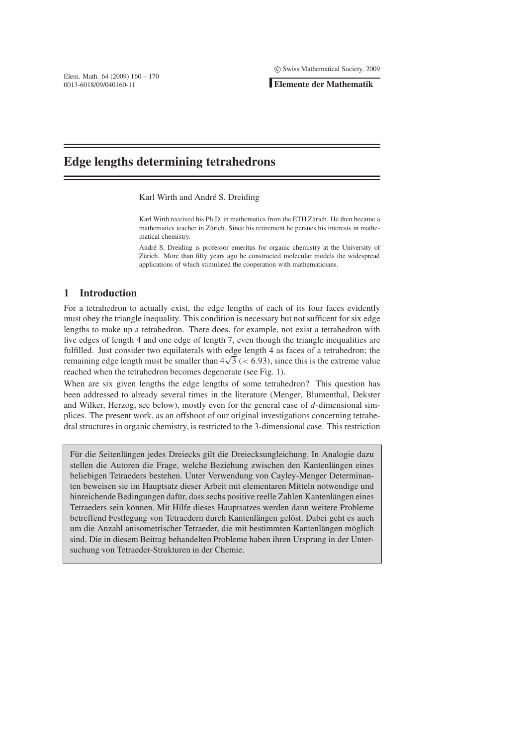**Elemente der Mathematik**

# **Edge lengths determining tetrahedrons**

Karl Wirth and André S. Dreiding

Karl Wirth received his Ph.D. in mathematics from the ETH Zürich. He then became a mathematics teacher in Zürich. Since his retirement he persues his interests in mathematical chemistry.

André S. Dreiding is professor emeritus for organic chemistry at the University of Zürich. More than fifty years ago he constructed molecular models the widespread applications of which stimulated the cooperation with mathematicians.

# **1 Introduction**

.

For a tetrahedron to actually exist, the edge lengths of each of its four faces evidently must obey the triangle inequality. This condition is necessary but not sufficent for six edge lengths to make up a tetrahedron. There does, for example, not exist a tetrahedron with five edges of length 4 and one edge of length 7, even though the triangle inequalities are fulfilled. Just consider two equilaterals with edge length 4 as faces of a tetrahedron; the remaining edge length must be smaller than  $4\sqrt{3}$  (< 6.93), since this is the extreme value reached when the tetrahedron becomes degenerate (see Fig. 1).

When are six given lengths the edge lengths of some tetrahedron? This question has been addressed to already several times in the literature (Menger, Blumenthal, Dekster and Wilker, Herzog, see below), mostly even for the general case of *d*-dimensional simplices. The present work, as an offshoot of our original investigations concerning tetrahedral structures in organic chemistry, is restricted to the 3-dimensional case. This restriction

Für die Seitenlängen jedes Dreiecks gilt die Dreiecksungleichung. In Analogie dazu stellen die Autoren die Frage, welche Beziehung zwischen den Kantenlängen eines beliebigen Tetraeders bestehen. Unter Verwendung von Cayley-Menger Determinanten beweisen sie im Hauptsatz dieser Arbeit mit elementaren Mitteln notwendige und hinreichende Bedingungen dafür, dass sechs positive reelle Zahlen Kantenlängen eines Tetraeders sein können. Mit Hilfe dieses Hauptsatzes werden dann weitere Probleme betreffend Festlegung von Tetraedern durch Kantenlängen gelöst. Dabei geht es auch um die Anzahl anisometrischer Tetraeder, die mit bestimmten Kantenlängen möglich sind. Die in diesem Beitrag behandelten Probleme haben ihren Ursprung in der Untersuchung von Tetraeder-Strukturen in der Chemie.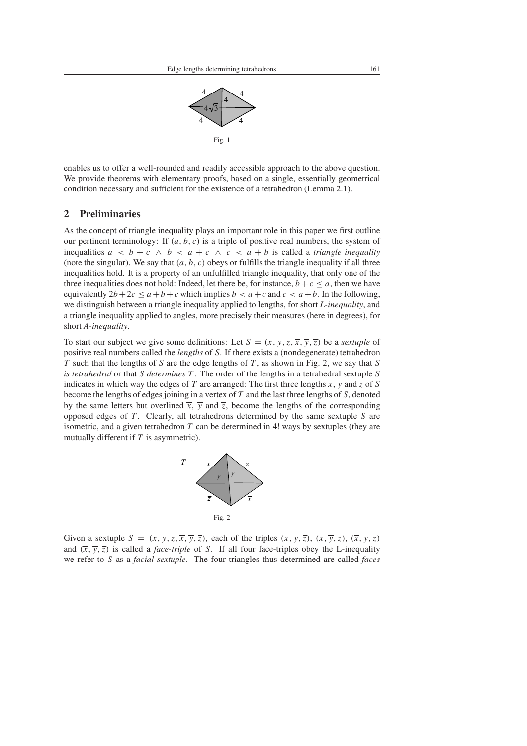

enables us to offer a well-rounded and readily accessible approach to the above question. We provide theorems with elementary proofs, based on a single, essentially geometrical condition necessary and sufficient for the existence of a tetrahedron (Lemma 2.1).

# **2 Preliminaries**

As the concept of triangle inequality plays an important role in this paper we first outline our pertinent terminology: If (*a*, *b*, *c*) is a triple of positive real numbers, the system of inequalities  $a < b + c \land b < a + c \land c < a + b$  is called a *triangle inequality* (note the singular). We say that  $(a, b, c)$  obeys or fulfills the triangle inequality if all three inequalities hold. It is a property of an unfulfilled triangle inequality, that only one of the three inequalities does not hold: Indeed, let there be, for instance,  $b + c \le a$ , then we have equivalently  $2b+2c \le a+b+c$  which implies  $b < a+c$  and  $c < a+b$ . In the following, we distinguish between a triangle inequality applied to lengths, for short *L-inequality*, and a triangle inequality applied to angles, more precisely their measures (here in degrees), for short *A-inequality*.

To start our subject we give some definitions: Let  $S = (x, y, z, \overline{x}, \overline{y}, \overline{z})$  be a *sextuple* of positive real numbers called the *lengths* of *S*. If there exists a (nondegenerate) tetrahedron *T* such that the lengths of *S* are the edge lengths of *T* , as shown in Fig. 2, we say that *S is tetrahedral* or that *S determines T* . The order of the lengths in a tetrahedral sextuple *S* indicates in which way the edges of *T* are arranged: The first three lengths *x*, *y* and *z* of *S* become the lengths of edges joining in a vertex of *T* and the last three lengths of *S*, denoted by the same letters but overlined  $\overline{x}$ ,  $\overline{y}$  and  $\overline{z}$ , become the lengths of the corresponding opposed edges of *T* . Clearly, all tetrahedrons determined by the same sextuple *S* are isometric, and a given tetrahedron *T* can be determined in 4! ways by sextuples (they are mutually different if *T* is asymmetric).



Given a sextuple  $S = (x, y, z, \overline{x}, \overline{y}, \overline{z})$ , each of the triples  $(x, y, \overline{z})$ ,  $(x, \overline{y}, z)$ ,  $(\overline{x}, y, z)$ and  $(\overline{x}, \overline{y}, \overline{z})$  is called a *face-triple* of *S*. If all four face-triples obey the L-inequality we refer to *S* as a *facial sextuple*. The four triangles thus determined are called *faces*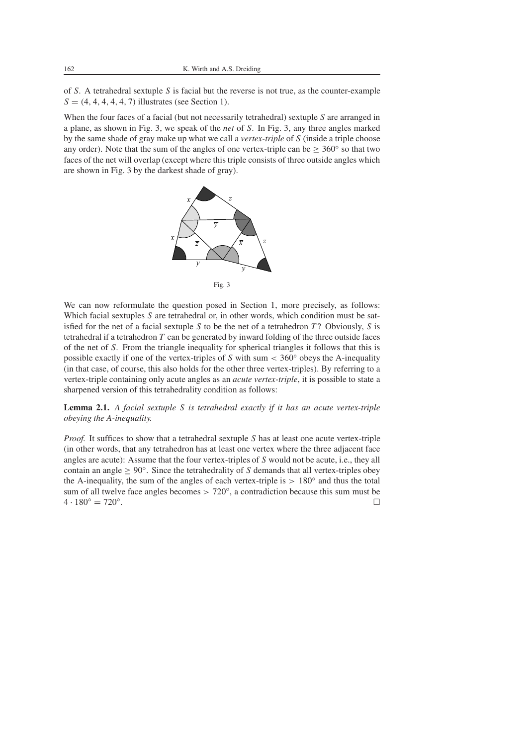of *S*. A tetrahedral sextuple *S* is facial but the reverse is not true, as the counter-example  $S = (4, 4, 4, 4, 4, 7)$  illustrates (see Section 1).

When the four faces of a facial (but not necessarily tetrahedral) sextuple *S* are arranged in a plane, as shown in Fig. 3, we speak of the *net* of *S*. In Fig. 3, any three angles marked by the same shade of gray make up what we call a *vertex-triple* of *S* (inside a triple choose any order). Note that the sum of the angles of one vertex-triple can be  $\geq 360^\circ$  so that two faces of the net will overlap (except where this triple consists of three outside angles which are shown in Fig. 3 by the darkest shade of gray).



We can now reformulate the question posed in Section 1, more precisely, as follows: Which facial sextuples *S* are tetrahedral or, in other words, which condition must be satisfied for the net of a facial sextuple *S* to be the net of a tetrahedron *T* ? Obviously, *S* is tetrahedral if a tetrahedron *T* can be generated by inward folding of the three outside faces of the net of *S*. From the triangle inequality for spherical triangles it follows that this is possible exactly if one of the vertex-triples of *S* with sum < 360◦ obeys the A-inequality (in that case, of course, this also holds for the other three vertex-triples). By referring to a vertex-triple containing only acute angles as an *acute vertex-triple*, it is possible to state a sharpened version of this tetrahedrality condition as follows:

**Lemma 2.1.** *A facial sextuple S is tetrahedral exactly if it has an acute vertex-triple obeying the A-inequality.*

*Proof.* It suffices to show that a tetrahedral sextuple *S* has at least one acute vertex-triple (in other words, that any tetrahedron has at least one vertex where the three adjacent face angles are acute): Assume that the four vertex-triples of *S* would not be acute, i.e., they all contain an angle ≥ 90◦. Since the tetrahedrality of *S* demands that all vertex-triples obey the A-inequality, the sum of the angles of each vertex-triple is  $> 180°$  and thus the total sum of all twelve face angles becomes  $> 720^\circ$ , a contradiction because this sum must be  $4 \cdot 180^{\circ} = 720^{\circ}$ .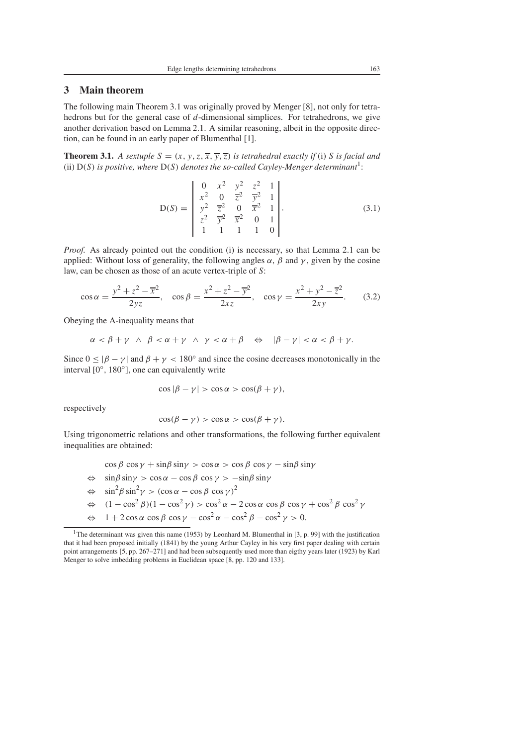# **3 Main theorem**

The following main Theorem 3.1 was originally proved by Menger [8], not only for tetrahedrons but for the general case of *d*-dimensional simplices. For tetrahedrons, we give another derivation based on Lemma 2.1. A similar reasoning, albeit in the opposite direction, can be found in an early paper of Blumenthal [1].

**Theorem 3.1.** *A sextuple*  $S = (x, y, z, \overline{x}, \overline{y}, \overline{z})$  *is tetrahedral exactly if* (i) *S is facial and* (ii) D(*S*) *is positive, where* D(*S*) *denotes the so-called Cayley-Menger determinant*1:

$$
D(S) = \begin{vmatrix} 0 & x^2 & y^2 & z^2 & 1 \\ x^2 & 0 & \overline{z}^2 & \overline{y}^2 & 1 \\ y^2 & \overline{z}^2 & 0 & \overline{x}^2 & 1 \\ z^2 & \overline{y}^2 & \overline{x}^2 & 0 & 1 \\ 1 & 1 & 1 & 1 & 0 \end{vmatrix}.
$$
 (3.1)

*Proof.* As already pointed out the condition (i) is necessary, so that Lemma 2.1 can be applied: Without loss of generality, the following angles  $\alpha$ ,  $\beta$  and  $\gamma$ , given by the cosine law, can be chosen as those of an acute vertex-triple of *S*:

$$
\cos \alpha = \frac{y^2 + z^2 - \overline{x}^2}{2yz}, \quad \cos \beta = \frac{x^2 + z^2 - \overline{y}^2}{2xz}, \quad \cos \gamma = \frac{x^2 + y^2 - \overline{z}^2}{2xy}.
$$
 (3.2)

Obeying the A-inequality means that

$$
\alpha < \beta + \gamma \ \wedge \ \beta < \alpha + \gamma \ \wedge \ \gamma < \alpha + \beta \quad \Leftrightarrow \quad |\beta - \gamma| < \alpha < \beta + \gamma.
$$

Since  $0 \le |\beta - \gamma|$  and  $\beta + \gamma < 180^\circ$  and since the cosine decreases monotonically in the interval [0◦, 180◦], one can equivalently write

$$
\cos|\beta - \gamma| > \cos\alpha > \cos(\beta + \gamma),
$$

respectively

$$
\cos(\beta - \gamma) > \cos \alpha > \cos(\beta + \gamma).
$$

Using trigonometric relations and other transformations, the following further equivalent inequalities are obtained:

$$
\cos \beta \cos \gamma + \sin \beta \sin \gamma > \cos \alpha > \cos \beta \cos \gamma - \sin \beta \sin \gamma
$$
\n
$$
\Leftrightarrow \sin \beta \sin \gamma > \cos \alpha - \cos \beta \cos \gamma > -\sin \beta \sin \gamma
$$
\n
$$
\Leftrightarrow \sin^2 \beta \sin^2 \gamma > (\cos \alpha - \cos \beta \cos \gamma)^2
$$
\n
$$
\Leftrightarrow (1 - \cos^2 \beta)(1 - \cos^2 \gamma) > \cos^2 \alpha - 2 \cos \alpha \cos \beta \cos \gamma + \cos^2 \beta \cos^2 \gamma
$$
\n
$$
\Leftrightarrow 1 + 2 \cos \alpha \cos \beta \cos \gamma - \cos^2 \alpha - \cos^2 \beta - \cos^2 \gamma > 0.
$$

<sup>&</sup>lt;sup>1</sup>The determinant was given this name (1953) by Leonhard M. Blumenthal in [3, p. 99] with the justification that it had been proposed initially (1841) by the young Arthur Cayley in his very first paper dealing with certain point arrangements [5, pp. 267–271] and had been subsequently used more than eigthy years later (1923) by Karl Menger to solve imbedding problems in Euclidean space [8, pp. 120 and 133].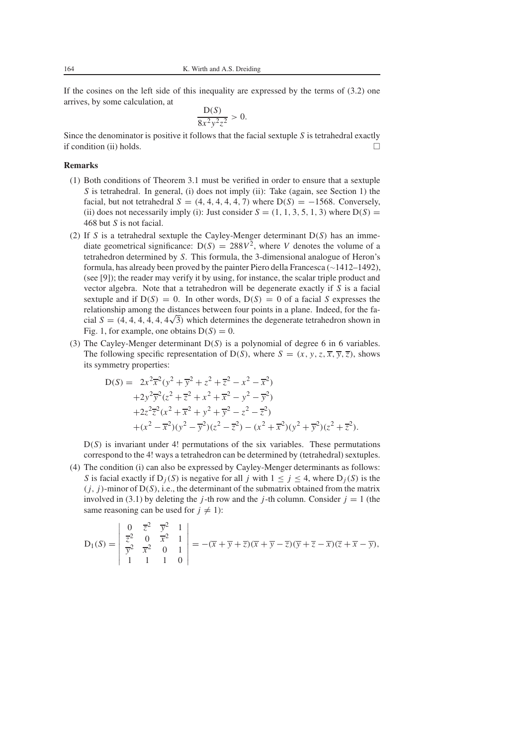If the cosines on the left side of this inequality are expressed by the terms of (3.2) one arrives, by some calculation, at

$$
\frac{\mathsf{D}(S)}{8x^2y^2z^2}>0.
$$

Since the denominator is positive it follows that the facial sextuple *S* is tetrahedral exactly if condition (ii) holds.  $\Box$ 

#### **Remarks**

- (1) Both conditions of Theorem 3.1 must be verified in order to ensure that a sextuple *S* is tetrahedral. In general, (i) does not imply (ii): Take (again, see Section 1) the facial, but not tetrahedral  $S = (4, 4, 4, 4, 4, 7)$  where  $D(S) = -1568$ . Conversely, (ii) does not necessarily imply (i): Just consider  $S = (1, 1, 3, 5, 1, 3)$  where  $D(S) =$ 468 but *S* is not facial.
- (2) If *S* is a tetrahedral sextuple the Cayley-Menger determinant  $D(S)$  has an immediate geometrical significance:  $D(S) = 288V^2$ , where *V* denotes the volume of a tetrahedron determined by *S*. This formula, the 3-dimensional analogue of Heron's formula, has already been proved by the painter Piero della Francesca (∼1412–1492), (see [9]); the reader may verify it by using, for instance, the scalar triple product and vector algebra. Note that a tetrahedron will be degenerate exactly if *S* is a facial sextuple and if  $D(S) = 0$ . In other words,  $D(S) = 0$  of a facial *S* expresses the relationship among the distances between four points in a plane. Indeed, for the facial  $S = (4, 4, 4, 4, 4, \sqrt{3})$  which determines the degenerate tetrahedron shown in Fig. 1, for example, one obtains  $D(S) = 0$ .
- (3) The Cayley-Menger determinant D(*S*) is a polynomial of degree 6 in 6 variables. The following specific representation of D(*S*), where  $S = (x, y, z, \overline{x}, \overline{y}, \overline{z})$ , shows its symmetry properties:

$$
D(S) = 2x^{2}\overline{x}^{2}(y^{2} + \overline{y}^{2} + z^{2} + \overline{z}^{2} - x^{2} - \overline{x}^{2})
$$
  
+2y^{2}\overline{y}^{2}(z^{2} + \overline{z}^{2} + x^{2} + \overline{x}^{2} - y^{2} - \overline{y}^{2})  
+2z^{2}\overline{z}^{2}(x^{2} + \overline{x}^{2} + y^{2} + \overline{y}^{2} - z^{2} - \overline{z}^{2})  
+ (x^{2} - \overline{x}^{2})(y^{2} - \overline{y}^{2})(z^{2} - \overline{z}^{2}) - (x^{2} + \overline{x}^{2})(y^{2} + \overline{y}^{2})(z^{2} + \overline{z}^{2}).

 $D(S)$  is invariant under 4! permutations of the six variables. These permutations correspond to the 4! ways a tetrahedron can be determined by (tetrahedral) sextuples.

(4) The condition (i) can also be expressed by Cayley-Menger determinants as follows: *S* is facial exactly if  $D_j(S)$  is negative for all *j* with  $1 \le j \le 4$ , where  $D_j(S)$  is the  $(j, j)$ -minor of  $D(S)$ , i.e., the determinant of the submatrix obtained from the matrix involved in (3.1) by deleting the *j*-th row and the *j*-th column. Consider  $j = 1$  (the same reasoning can be used for  $j \neq 1$ :

$$
D_1(S) = \begin{vmatrix} 0 & \overline{z}^2 & \overline{y}^2 & 1 \\ \overline{z}^2 & 0 & \overline{x}^2 & 1 \\ \overline{y}^2 & \overline{x}^2 & 0 & 1 \\ 1 & 1 & 1 & 0 \end{vmatrix} = -(\overline{x} + \overline{y} + \overline{z})(\overline{x} + \overline{y} - \overline{z})(\overline{y} + \overline{z} - \overline{x})(\overline{z} + \overline{x} - \overline{y}),
$$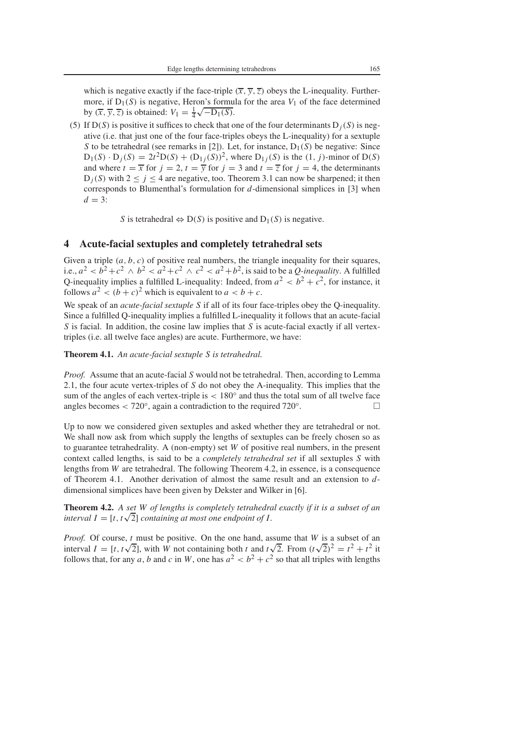which is negative exactly if the face-triple  $(\overline{x}, \overline{y}, \overline{z})$  obeys the L-inequality. Furthermore, if  $D_1(S)$  is negative, Heron's formula for the area  $V_1$  of the face determined by  $(\overline{x}, \overline{y}, \overline{z})$  is obtained:  $V_1 = \frac{1}{4}\sqrt{-D_1(S)}$ .

(5) If  $D(S)$  is positive it suffices to check that one of the four determinants  $D_i(S)$  is negative (i.e. that just one of the four face-triples obeys the L-inequality) for a sextuple *S* to be tetrahedral (see remarks in [2]). Let, for instance,  $D_1(S)$  be negative: Since  $D_1(S) \cdot D_j(S) = 2t^2D(S) + (D_{1j}(S))^2$ , where  $D_{1j}(S)$  is the (1, *j*)-minor of  $D(S)$ and where  $t = \overline{x}$  for  $j = 2$ ,  $t = \overline{y}$  for  $j = 3$  and  $t = \overline{z}$  for  $j = 4$ , the determinants  $D_i(S)$  with  $2 \leq j \leq 4$  are negative, too. Theorem 3.1 can now be sharpened; it then corresponds to Blumenthal's formulation for *d*-dimensional simplices in [3] when  $d = 3$ :

*S* is tetrahedral  $\Leftrightarrow$  D(*S*) is positive and D<sub>1</sub>(*S*) is negative.

## **4 Acute-facial sextuples and completely tetrahedral sets**

Given a triple  $(a, b, c)$  of positive real numbers, the triangle inequality for their squares, i.e.,  $a^2 < b^2+c^2 \wedge b^2 < a^2+c^2 \wedge c^2 < a^2+b^2$ , is said to be a *Q*-inequality. A fulfilled Q-inequality implies a fulfilled L-inequality: Indeed, from  $a^2 < b^2 + c^2$ , for instance, it follows  $a^2 < (b+c)^2$  which is equivalent to  $a < b+c$ .

We speak of an *acute-facial sextuple S* if all of its four face-triples obey the Q-inequality. Since a fulfilled Q-inequality implies a fulfilled L-inequality it follows that an acute-facial *S* is facial. In addition, the cosine law implies that *S* is acute-facial exactly if all vertextriples (i.e. all twelve face angles) are acute. Furthermore, we have:

#### **Theorem 4.1.** *An acute-facial sextuple S is tetrahedral.*

*Proof.* Assume that an acute-facial *S* would not be tetrahedral. Then, according to Lemma 2.1, the four acute vertex-triples of *S* do not obey the A-inequality. This implies that the sum of the angles of each vertex-triple is  $< 180^\circ$  and thus the total sum of all twelve face angles becomes < 720 $\degree$ , again a contradiction to the required 720 $\degree$ .

Up to now we considered given sextuples and asked whether they are tetrahedral or not. We shall now ask from which supply the lengths of sextuples can be freely chosen so as to guarantee tetrahedrality. A (non-empty) set *W* of positive real numbers, in the present context called lengths, is said to be a *completely tetrahedral set* if all sextuples *S* with lengths from *W* are tetrahedral. The following Theorem 4.2, in essence, is a consequence of Theorem 4.1. Another derivation of almost the same result and an extension to *d*dimensional simplices have been given by Dekster and Wilker in [6].

**Theorem 4.2.** *A set W of lengths is completely tetrahedral exactly if it is a subset of an* **interval** *I* = [*t*, *t* $\sqrt{2}$ ] *containing at most one endpoint of I*.

*Proof.* Of course, *t* must be positive. On the one hand, assume that *W* is a subset of an *Proof.* Of course, *t* must be positive. On the one hand, assume that *W* is a subset of an interval  $I = [t, t\sqrt{2}]$ , with *W* not containing both *t* and  $t\sqrt{2}$ . From  $(t\sqrt{2})^2 = t^2 + t^2$  it follows that, for any *a*, *b* and *c* in *W*, one has  $a^2 < b^2 + c^2$  so that all triples with lengths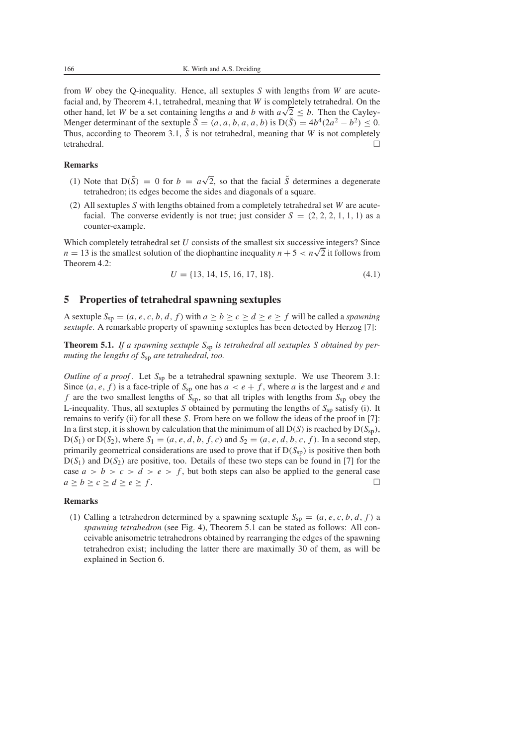from *W* obey the Q-inequality. Hence, all sextuples *S* with lengths from *W* are acutefacial and, by Theorem 4.1, tetrahedral, meaning that *W* is completely tetrahedral. On the other hand, let *W* be a set containing lengths *a* and *b* with  $a\sqrt{2} \leq b$ . Then the Cayley-Menger determinant of the sextuple  $\tilde{S} = (a, a, b, a, a, b)$  is  $D(\tilde{S}) = 4b^4(2a^2 - b^2) \le 0$ . Thus, according to Theorem 3.1,  $\tilde{S}$  is not tetrahedral, meaning that *W* is not completely tetrahedral.

#### **Remarks**

- (1) Note that  $D(\tilde{S}) = 0$  for  $b = a\sqrt{2}$ , so that the facial  $\tilde{S}$  determines a degenerate tetrahedron; its edges become the sides and diagonals of a square.
- (2) All sextuples *S* with lengths obtained from a completely tetrahedral set *W* are acutefacial. The converse evidently is not true; just consider  $S = (2, 2, 2, 1, 1, 1)$  as a counter-example.

Which completely tetrahedral set  $U$  consists of the smallest six successive integers? Since  $n = 13$  is the smallest solution of the diophantine inequality  $n + 5 < n\sqrt{2}$  it follows from Theorem 4.2:

$$
U = \{13, 14, 15, 16, 17, 18\}.\tag{4.1}
$$

# **5 Properties of tetrahedral spawning sextuples**

A sextuple  $S_{\text{sp}} = (a, e, c, b, d, f)$  with  $a \ge b \ge c \ge d \ge e \ge f$  will be called a *spawning sextuple*. A remarkable property of spawning sextuples has been detected by Herzog [7]:

**Theorem 5.1.** *If a spawning sextuple S*sp *is tetrahedral all sextuples S obtained by permuting the lengths of S*sp *are tetrahedral, too.*

*Outline of a proof.* Let  $S_{sp}$  be a tetrahedral spawning sextuple. We use Theorem 3.1: Since  $(a, e, f)$  is a face-triple of  $S_{\text{sp}}$  one has  $a < e + f$ , where *a* is the largest and *e* and *f* are the two smallest lengths of *S*sp, so that all triples with lengths from *S*sp obey the L-inequality. Thus, all sextuples *S* obtained by permuting the lengths of  $S_{\rm SD}$  satisfy (i). It remains to verify (ii) for all these *S*. From here on we follow the ideas of the proof in [7]: In a first step, it is shown by calculation that the minimum of all  $D(S)$  is reached by  $D(S_{\text{sp}})$ ,  $D(S_1)$  or  $D(S_2)$ , where  $S_1 = (a, e, d, b, f, c)$  and  $S_2 = (a, e, d, b, c, f)$ . In a second step, primarily geometrical considerations are used to prove that if  $D(S_{sp})$  is positive then both  $D(S_1)$  and  $D(S_2)$  are positive, too. Details of these two steps can be found in [7] for the case  $a > b > c > d > e > f$ , but both steps can also be applied to the general case  $a \ge b \ge c \ge d \ge e \ge f$ .

### **Remarks**

(1) Calling a tetrahedron determined by a spawning sextuple  $S_{\rm sp} = (a, e, c, b, d, f)$  a *spawning tetrahedron* (see Fig. 4), Theorem 5.1 can be stated as follows: All conceivable anisometric tetrahedrons obtained by rearranging the edges of the spawning tetrahedron exist; including the latter there are maximally 30 of them, as will be explained in Section 6.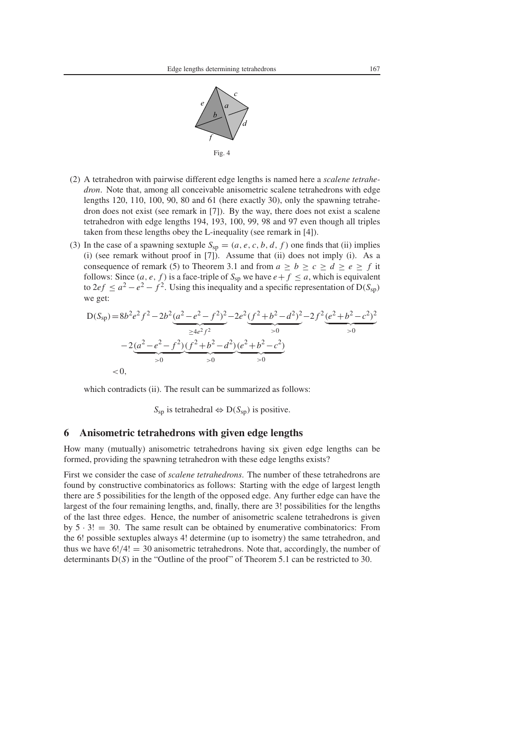

- (2) A tetrahedron with pairwise different edge lengths is named here a *scalene tetrahedron*. Note that, among all conceivable anisometric scalene tetrahedrons with edge lengths 120, 110, 100, 90, 80 and 61 (here exactly 30), only the spawning tetrahedron does not exist (see remark in [7]). By the way, there does not exist a scalene tetrahedron with edge lengths 194, 193, 100, 99, 98 and 97 even though all triples taken from these lengths obey the L-inequality (see remark in [4]).
- (3) In the case of a spawning sextuple  $S_{sp} = (a, e, c, b, d, f)$  one finds that (ii) implies (i) (see remark without proof in [7]). Assume that (ii) does not imply (i). As a consequence of remark (5) to Theorem 3.1 and from  $a \ge b \ge c \ge d \ge e \ge f$  it follows: Since  $(a, e, f)$  is a face-triple of  $S_{\text{sp}}$  we have  $e + f \le a$ , which is equivalent to  $2ef \le a^2 - e^2 - f^2$ . Using this inequality and a specific representation of  $D(S_{sp})$ we get:

$$
D(S_{sp}) = 8b^{2}e^{2}f^{2} - 2b^{2}\underbrace{(a^{2} - e^{2} - f^{2})^{2}}_{\ge 4e^{2}f^{2}} - 2e^{2}\underbrace{(f^{2} + b^{2} - d^{2})^{2}}_{>0} - 2f^{2}\underbrace{(e^{2} + b^{2} - c^{2})^{2}}_{>0}
$$
  

$$
-2\underbrace{(a^{2} - e^{2} - f^{2})(f^{2} + b^{2} - d^{2})}_{>0}\underbrace{(e^{2} + b^{2} - c^{2})}_{>0}
$$
  
<0.

which contradicts (ii). The result can be summarized as follows:

 $S<sub>sp</sub>$  is tetrahedral  $\Leftrightarrow$  D( $S<sub>sp</sub>$ ) is positive.

# **6 Anisometric tetrahedrons with given edge lengths**

How many (mutually) anisometric tetrahedrons having six given edge lengths can be formed, providing the spawning tetrahedron with these edge lengths exists?

First we consider the case of *scalene tetrahedrons*. The number of these tetrahedrons are found by constructive combinatorics as follows: Starting with the edge of largest length there are 5 possibilities for the length of the opposed edge. Any further edge can have the largest of the four remaining lengths, and, finally, there are 3! possibilities for the lengths of the last three edges. Hence, the number of anisometric scalene tetrahedrons is given by  $5 \cdot 3! = 30$ . The same result can be obtained by enumerative combinatorics: From the 6! possible sextuples always 4! determine (up to isometry) the same tetrahedron, and thus we have  $6!/4! = 30$  anisometric tetrahedrons. Note that, accordingly, the number of determinants D(*S*) in the "Outline of the proof" of Theorem 5.1 can be restricted to 30.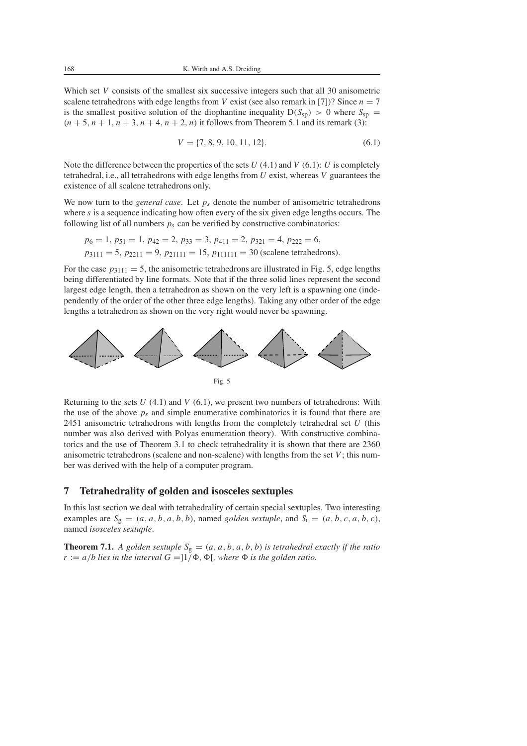Which set *V* consists of the smallest six successive integers such that all 30 anisometric scalene tetrahedrons with edge lengths from *V* exist (see also remark in [7])? Since  $n = 7$ is the smallest positive solution of the diophantine inequality  $D(S_{sp}) > 0$  where  $S_{sp}$  =  $(n+5, n+1, n+3, n+4, n+2, n)$  it follows from Theorem 5.1 and its remark (3):

$$
V = \{7, 8, 9, 10, 11, 12\}.
$$
\n
$$
(6.1)
$$

Note the difference between the properties of the sets *U* (4.1) and *V* (6.1): *U* is completely tetrahedral, i.e., all tetrahedrons with edge lengths from *U* exist, whereas *V* guarantees the existence of all scalene tetrahedrons only.

We now turn to the *general case*. Let  $p_s$  denote the number of anisometric tetrahedrons where *s* is a sequence indicating how often every of the six given edge lengths occurs. The following list of all numbers  $p_s$  can be verified by constructive combinatorics:

$$
p_6 = 1
$$
,  $p_{51} = 1$ ,  $p_{42} = 2$ ,  $p_{33} = 3$ ,  $p_{411} = 2$ ,  $p_{321} = 4$ ,  $p_{222} = 6$ ,  
 $p_{3111} = 5$ ,  $p_{2211} = 9$ ,  $p_{21111} = 15$ ,  $p_{111111} = 30$  (scalene tetrahedrons).

For the case  $p_{3111} = 5$ , the anisometric tetrahedrons are illustrated in Fig. 5, edge lengths being differentiated by line formats. Note that if the three solid lines represent the second largest edge length, then a tetrahedron as shown on the very left is a spawning one (independently of the order of the other three edge lengths). Taking any other order of the edge lengths a tetrahedron as shown on the very right would never be spawning.



Returning to the sets  $U(4.1)$  and  $V(6.1)$ , we present two numbers of tetrahedrons: With the use of the above  $p_s$  and simple enumerative combinatorics it is found that there are 2451 anisometric tetrahedrons with lengths from the completely tetrahedral set *U* (this number was also derived with Polyas enumeration theory). With constructive combinatorics and the use of Theorem 3.1 to check tetrahedrality it is shown that there are 2360 anisometric tetrahedrons (scalene and non-scalene) with lengths from the set  $V$ ; this number was derived with the help of a computer program.

## **7 Tetrahedrality of golden and isosceles sextuples**

In this last section we deal with tetrahedrality of certain special sextuples. Two interesting examples are  $S_g = (a, a, b, a, b, b)$ , named *golden sextuple*, and  $S_i = (a, b, c, a, b, c)$ , named *isosceles sextuple*.

**Theorem 7.1.** *A golden sextuple*  $S_g = (a, a, b, a, b, b)$  *is tetrahedral exactly if the ratio*  $r := a/b$  lies in the interval  $G = 1/\Phi$ ,  $\Phi$ , where  $\Phi$  is the golden ratio.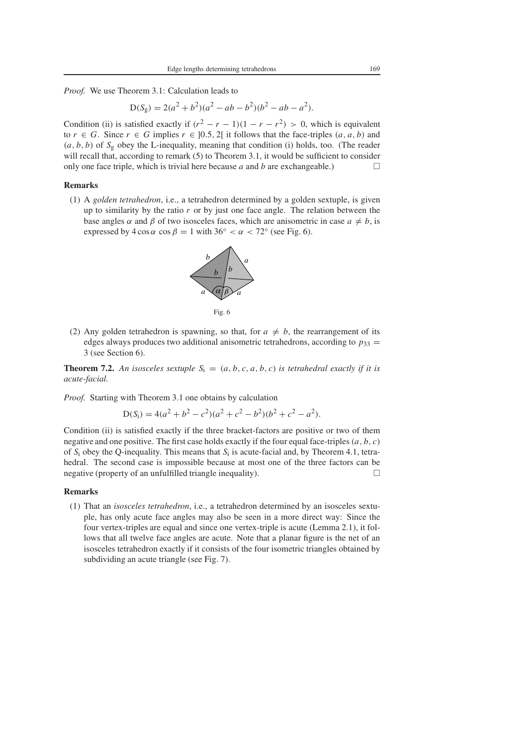*Proof.* We use Theorem 3.1: Calculation leads to

$$
D(S_g) = 2(a^2 + b^2)(a^2 - ab - b^2)(b^2 - ab - a^2).
$$

Condition (ii) is satisfied exactly if  $(r^2 - r - 1)(1 - r - r^2) > 0$ , which is equivalent to  $r \in G$ . Since  $r \in G$  implies  $r \in ]0.5, 2[$  it follows that the face-triples  $(a, a, b)$  and  $(a, b, b)$  of  $S_g$  obey the L-inequality, meaning that condition (i) holds, too. (The reader will recall that, according to remark  $(5)$  to Theorem 3.1, it would be sufficient to consider only one face triple, which is trivial here because  $a$  and  $b$  are exchangeable.)

### **Remarks**

(1) A *golden tetrahedron*, i.e., a tetrahedron determined by a golden sextuple, is given up to similarity by the ratio *r* or by just one face angle. The relation between the base angles  $\alpha$  and  $\beta$  of two isosceles faces, which are anisometric in case  $a \neq b$ , is expressed by  $4 \cos \alpha \cos \beta = 1$  with  $36° < \alpha < 72°$  (see Fig. 6).





(2) Any golden tetrahedron is spawning, so that, for  $a \neq b$ , the rearrangement of its edges always produces two additional anisometric tetrahedrons, according to  $p_{33} =$ 3 (see Section 6).

**Theorem 7.2.** An isosceles sextuple  $S_i = (a, b, c, a, b, c)$  is tetrahedral exactly if it is *acute-facial.*

*Proof.* Starting with Theorem 3.1 one obtains by calculation

$$
D(Si) = 4(a2 + b2 - c2)(a2 + c2 - b2)(b2 + c2 - a2).
$$

Condition (ii) is satisfied exactly if the three bracket-factors are positive or two of them negative and one positive. The first case holds exactly if the four equal face-triples  $(a, b, c)$ of *S*<sup>i</sup> obey the Q-inequality. This means that *S*<sup>i</sup> is acute-facial and, by Theorem 4.1, tetrahedral. The second case is impossible because at most one of the three factors can be negative (property of an unfulfilled triangle inequality).

#### **Remarks**

(1) That an *isosceles tetrahedron*, i.e., a tetrahedron determined by an isosceles sextuple, has only acute face angles may also be seen in a more direct way: Since the four vertex-triples are equal and since one vertex-triple is acute (Lemma 2.1), it follows that all twelve face angles are acute. Note that a planar figure is the net of an isosceles tetrahedron exactly if it consists of the four isometric triangles obtained by subdividing an acute triangle (see Fig. 7).